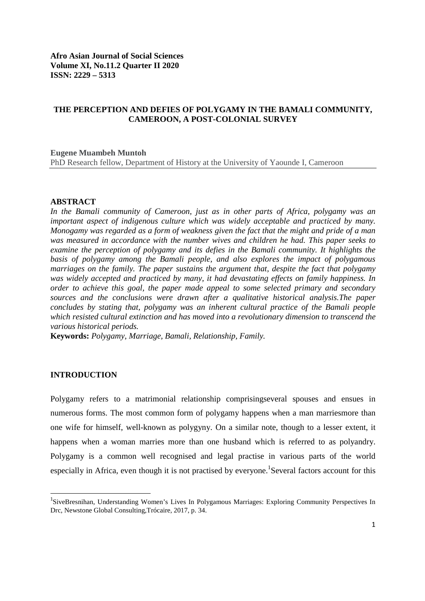# **THE PERCEPTION AND DEFIES OF POLYGAMY IN THE BAMALI COMMUNITY, CAMEROON, A POST-COLONIAL SURVEY**

#### **Eugene Muambeh Muntoh**

PhD Research fellow, Department of History at the University of Yaounde I, Cameroon

#### **ABSTRACT**

*In the Bamali community of Cameroon, just as in other parts of Africa, polygamy was an important aspect of indigenous culture which was widely acceptable and practiced by many. Monogamy was regarded as a form of weakness given the fact that the might and pride of a man was measured in accordance with the number wives and children he had. This paper seeks to examine the perception of polygamy and its defies in the Bamali community. It highlights the basis of polygamy among the Bamali people, and also explores the impact of polygamous marriages on the family. The paper sustains the argument that, despite the fact that polygamy was widely accepted and practiced by many, it had devastating effects on family happiness. In order to achieve this goal, the paper made appeal to some selected primary and secondary sources and the conclusions were drawn after a qualitative historical analysis.The paper concludes by stating that, polygamy was an inherent cultural practice of the Bamali people which resisted cultural extinction and has moved into a revolutionary dimension to transcend the various historical periods.*

**Keywords:** *Polygamy, Marriage, Bamali, Relationship, Family.*

#### **INTRODUCTION**

Polygamy refers to a matrimonial relationship comprisingseveral spouses and ensues in numerous forms. The most common form of polygamy happens when a man marriesmore than one wife for himself, well-known as polygyny. On a similar note, though to a lesser extent, it happens when a woman marries more than one husband which is referred to as polyandry. Polygamy is a common well recognised and legal practise in various parts of the world especially in Africa, even though it is not practised by everyone.<sup>1</sup>Several factors account for this

 $\overline{1}$ <sup>1</sup>SiveBresnihan, Understanding Women's Lives In Polygamous Marriages: Exploring Community Perspectives In Drc, Newstone Global Consulting,Trócaire, 2017, p. 34.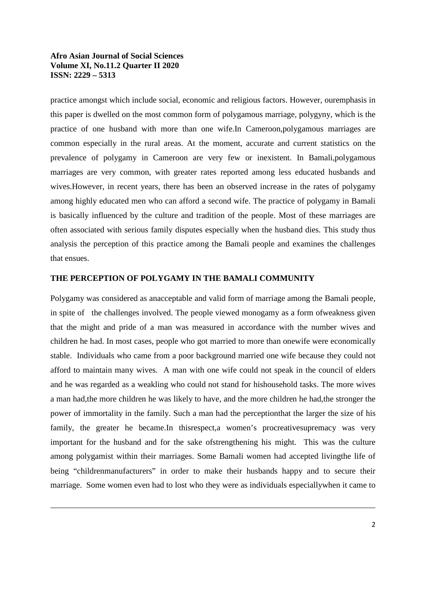$\overline{a}$ 

practice amongst which include social, economic and religious factors. However, ouremphasis in this paper is dwelled on the most common form of polygamous marriage, polygyny, which is the practice of one husband with more than one wife.In Cameroon,polygamous marriages are common especially in the rural areas. At the moment, accurate and current statistics on the prevalence of polygamy in Cameroon are very few or inexistent. In Bamali,polygamous marriages are very common, with greater rates reported among less educated husbands and wives.However, in recent years, there has been an observed increase in the rates of polygamy among highly educated men who can afford a second wife. The practice of polygamy in Bamali is basically influenced by the culture and tradition of the people. Most of these marriages are often associated with serious family disputes especially when the husband dies. This study thus analysis the perception of this practice among the Bamali people and examines the challenges that ensues.

### **THE PERCEPTION OF POLYGAMY IN THE BAMALI COMMUNITY**

Polygamy was considered as anacceptable and valid form of marriage among the Bamali people, in spite of the challenges involved. The people viewed monogamy as a form ofweakness given that the might and pride of a man was measured in accordance with the number wives and children he had. In most cases, people who got married to more than onewife were economically stable. Individuals who came from a poor background married one wife because they could not afford to maintain many wives. A man with one wife could not speak in the council of elders and he was regarded as a weakling who could not stand for hishousehold tasks. The more wives a man had,the more children he was likely to have, and the more children he had,the stronger the power of immortality in the family. Such a man had the perceptionthat the larger the size of his family, the greater he became.In thisrespect,a women's procreativesupremacy was very important for the husband and for the sake ofstrengthening his might. This was the culture among polygamist within their marriages. Some Bamali women had accepted livingthe life of being "childrenmanufacturers" in order to make their husbands happy and to secure their marriage. Some women even had to lost who they were as individuals especiallywhen it came to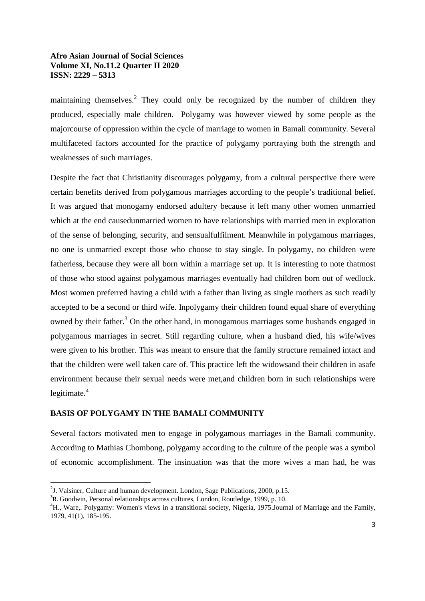maintaining themselves.<sup>2</sup> They could only be recognized by the number of children they produced, especially male children. Polygamy was however viewed by some people as the majorcourse of oppression within the cycle of marriage to women in Bamali community. Several multifaceted factors accounted for the practice of polygamy portraying both the strength and weaknesses of such marriages.

Despite the fact that Christianity discourages polygamy, from a cultural perspective there were certain benefits derived from polygamous marriages according to the people's traditional belief. It was argued that monogamy endorsed adultery because it left many other women unmarried which at the end causedunmarried women to have relationships with married men in exploration of the sense of belonging, security, and sensualfulfilment. Meanwhile in polygamous marriages, no one is unmarried except those who choose to stay single. In polygamy, no children were fatherless, because they were all born within a marriage set up. It is interesting to note thatmost of those who stood against polygamous marriages eventually had children born out of wedlock. Most women preferred having a child with a father than living as single mothers as such readily accepted to be a second or third wife. Inpolygamy their children found equal share of everything owned by their father.<sup>3</sup> On the other hand, in monogamous marriages some husbands engaged in polygamous marriages in secret. Still regarding culture, when a husband died, his wife/wives were given to his brother. This was meant to ensure that the family structure remained intact and that the children were well taken care of. This practice left the widowsand their children in asafe environment because their sexual needs were met,and children born in such relationships were legitimate. 4

# **BASIS OF POLYGAMY IN THE BAMALI COMMUNITY**

Several factors motivated men to engage in polygamous marriages in the Bamali community. According to Mathias Chombong, polygamy according to the culture of the people was a symbol of economic accomplishment. The insinuation was that the more wives a man had, he was

 $\overline{2}$  $3$ . Valsiner, Culture and human development. London, Sage Publications, 2000, p.15.

 $R^3$ R. Goodwin, Personal relationships across cultures, London, Routledge, 1999, p. 10.

<sup>&</sup>lt;sup>4</sup>H., Ware,. Polygamy: Women's views in a transitional society, Nigeria, 1975. Journal of Marriage and the Family, 1979, 41(1), 185-195.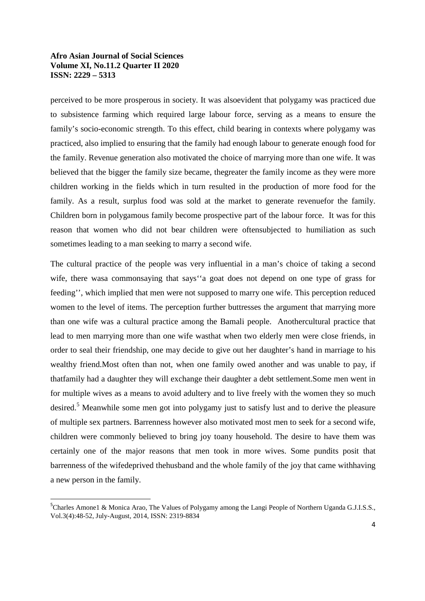perceived to be more prosperous in society. It was alsoevident that polygamy was practiced due to subsistence farming which required large labour force, serving as a means to ensure the family's socio-economic strength. To this effect, child bearing in contexts where polygamy was practiced, also implied to ensuring that the family had enough labour to generate enough food for the family. Revenue generation also motivated the choice of marrying more than one wife. It was believed that the bigger the family size became, thegreater the family income as they were more children working in the fields which in turn resulted in the production of more food for the family. As a result, surplus food was sold at the market to generate revenuefor the family. Children born in polygamous family become prospective part of the labour force. It was for this reason that women who did not bear children were oftensubjected to humiliation as such sometimes leading to a man seeking to marry a second wife.

The cultural practice of the people was very influential in a man's choice of taking a second wife, there wasa commonsaying that says''a goat does not depend on one type of grass for feeding'', which implied that men were not supposed to marry one wife. This perception reduced women to the level of items. The perception further buttresses the argument that marrying more than one wife was a cultural practice among the Bamali people. Anothercultural practice that lead to men marrying more than one wife wasthat when two elderly men were close friends, in order to seal their friendship, one may decide to give out her daughter's hand in marriage to his wealthy friend.Most often than not, when one family owed another and was unable to pay, if thatfamily had a daughter they will exchange their daughter a debt settlement.Some men went in for multiple wives as a means to avoid adultery and to live freely with the women they so much desired.<sup>5</sup> Meanwhile some men got into polygamy just to satisfy lust and to derive the pleasure of multiple sex partners. Barrenness however also motivated most men to seek for a second wife, children were commonly believed to bring joy toany household. The desire to have them was certainly one of the major reasons that men took in more wives. Some pundits posit that barrenness of the wifedeprived thehusband and the whole family of the joy that came withhaving a new person in the family.

<sup>|&</sup>lt;br>5 <sup>5</sup>Charles Amone1 & Monica Arao, The Values of Polygamy among the Langi People of Northern Uganda G.J.I.S.S., Vol.3(4):48-52, July-August, 2014, ISSN: 2319-8834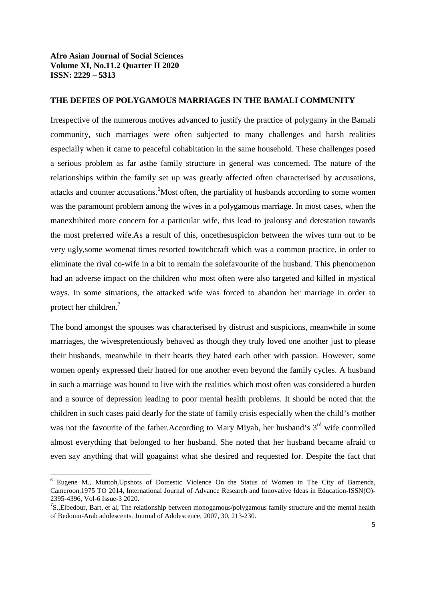$\overline{a}$ 

#### **THE DEFIES OF POLYGAMOUS MARRIAGES IN THE BAMALI COMMUNITY**

Irrespective of the numerous motives advanced to justify the practice of polygamy in the Bamali community, such marriages were often subjected to many challenges and harsh realities especially when it came to peaceful cohabitation in the same household. These challenges posed a serious problem as far asthe family structure in general was concerned. The nature of the relationships within the family set up was greatly affected often characterised by accusations, attacks and counter accusations. Most often, the partiality of husbands according to some women was the paramount problem among the wives in a polygamous marriage. In most cases, when the manexhibited more concern for a particular wife, this lead to jealousy and detestation towards the most preferred wife.As a result of this, oncethesuspicion between the wives turn out to be very ugly,some womenat times resorted towitchcraft which was a common practice, in order to eliminate the rival co-wife in a bit to remain the solefavourite of the husband. This phenomenon had an adverse impact on the children who most often were also targeted and killed in mystical ways. In some situations, the attacked wife was forced to abandon her marriage in order to protect her children.<sup>7</sup>

The bond amongst the spouses was characterised by distrust and suspicions, meanwhile in some marriages, the wivespretentiously behaved as though they truly loved one another just to please their husbands, meanwhile in their hearts they hated each other with passion. However, some women openly expressed their hatred for one another even beyond the family cycles. A husband in such a marriage was bound to live with the realities which most often was considered a burden and a source of depression leading to poor mental health problems. It should be noted that the children in such cases paid dearly for the state of family crisis especially when the child's mother was not the favourite of the father. According to Mary Miyah, her husband's  $3<sup>rd</sup>$  wife controlled almost everything that belonged to her husband. She noted that her husband became afraid to even say anything that will goagainst what she desired and requested for. Despite the fact that

<sup>6</sup> Eugene M., Muntoh,Upshots of Domestic Violence On the Status of Women in The City of Bamenda, Cameroon,1975 TO 2014, International Journal of Advance Research and Innovative Ideas in Education-ISSN(O)- 2395-4396, Vol-6 Issue-3 2020.

<sup>&</sup>lt;sup>7</sup>S., Elbedour, Bart, et al, The relationship between monogamous/polygamous family structure and the mental health of Bedouin-Arab adolescents. Journal of Adolescence, 2007, 30, 213-230.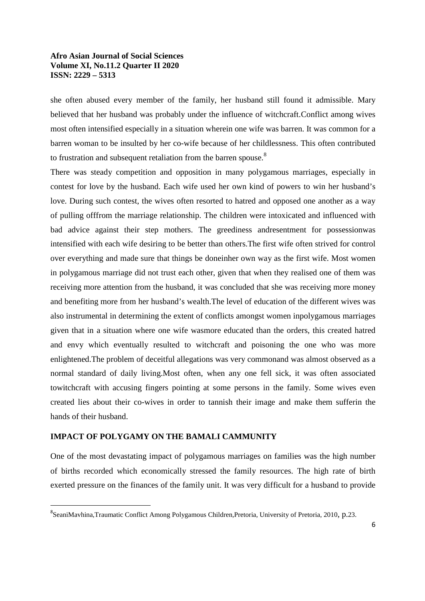she often abused every member of the family, her husband still found it admissible. Mary believed that her husband was probably under the influence of witchcraft.Conflict among wives most often intensified especially in a situation wherein one wife was barren. It was common for a barren woman to be insulted by her co-wife because of her childlessness. This often contributed to frustration and subsequent retaliation from the barren spouse.<sup>8</sup>

There was steady competition and opposition in many polygamous marriages, especially in contest for love by the husband. Each wife used her own kind of powers to win her husband's love. During such contest, the wives often resorted to hatred and opposed one another as a way of pulling offfrom the marriage relationship. The children were intoxicated and influenced with bad advice against their step mothers. The greediness andresentment for possessionwas intensified with each wife desiring to be better than others.The first wife often strived for control over everything and made sure that things be doneinher own way as the first wife. Most women in polygamous marriage did not trust each other, given that when they realised one of them was receiving more attention from the husband, it was concluded that she was receiving more money and benefiting more from her husband's wealth.The level of education of the different wives was also instrumental in determining the extent of conflicts amongst women inpolygamous marriages given that in a situation where one wife wasmore educated than the orders, this created hatred and envy which eventually resulted to witchcraft and poisoning the one who was more enlightened.The problem of deceitful allegations was very commonand was almost observed as a normal standard of daily living.Most often, when any one fell sick, it was often associated towitchcraft with accusing fingers pointing at some persons in the family. Some wives even created lies about their co-wives in order to tannish their image and make them sufferin the hands of their husband.

# **IMPACT OF POLYGAMY ON THE BAMALI CAMMUNITY**

One of the most devastating impact of polygamous marriages on families was the high number of births recorded which economically stressed the family resources. The high rate of birth exerted pressure on the finances of the family unit. It was very difficult for a husband to provide

 $\overline{8}$ SeaniMavhina,Traumatic Conflict Among Polygamous Children,Pretoria, University of Pretoria, 2010, p.23.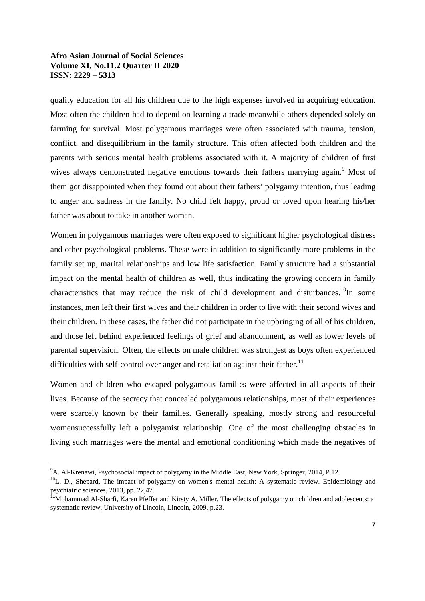quality education for all his children due to the high expenses involved in acquiring education. Most often the children had to depend on learning a trade meanwhile others depended solely on farming for survival. Most polygamous marriages were often associated with trauma, tension, conflict, and disequilibrium in the family structure. This often affected both children and the parents with serious mental health problems associated with it. A majority of children of first wives always demonstrated negative emotions towards their fathers marrying again.<sup>9</sup> Most of them got disappointed when they found out about their fathers' polygamy intention, thus leading to anger and sadness in the family. No child felt happy, proud or loved upon hearing his/her father was about to take in another woman.

Women in polygamous marriages were often exposed to significant higher psychological distress and other psychological problems. These were in addition to significantly more problems in the family set up, marital relationships and low life satisfaction. Family structure had a substantial impact on the mental health of children as well, thus indicating the growing concern in family characteristics that may reduce the risk of child development and disturbances.<sup>10</sup>In some instances, men left their first wives and their children in order to live with their second wives and their children. In these cases, the father did not participate in the upbringing of all of his children, and those left behind experienced feelings of grief and abandonment, as well as lower levels of parental supervision. Often, the effects on male children was strongest as boys often experienced difficulties with self-control over anger and retaliation against their father.<sup>11</sup>

Women and children who escaped polygamous families were affected in all aspects of their lives. Because of the secrecy that concealed polygamous relationships, most of their experiences were scarcely known by their families. Generally speaking, mostly strong and resourceful womensuccessfully left a polygamist relationship. One of the most challenging obstacles in living such marriages were the mental and emotional conditioning which made the negatives of

 <sup>9</sup> <sup>9</sup>A. Al-Krenawi, Psychosocial impact of polygamy in the Middle East, New York, Springer, 2014, P.12.

<sup>&</sup>lt;sup>10</sup>L. D., Shepard, The impact of polygamy on women's mental health: A systematic review. Epidemiology and psychiatric sciences, 2013, pp. 22,47.

<sup>&</sup>lt;sup>11</sup>Mohammad Al-Sharfi, Karen Pfeffer and Kirsty A. Miller, The effects of polygamy on children and adolescents: a systematic review, University of Lincoln, Lincoln, 2009, p.23.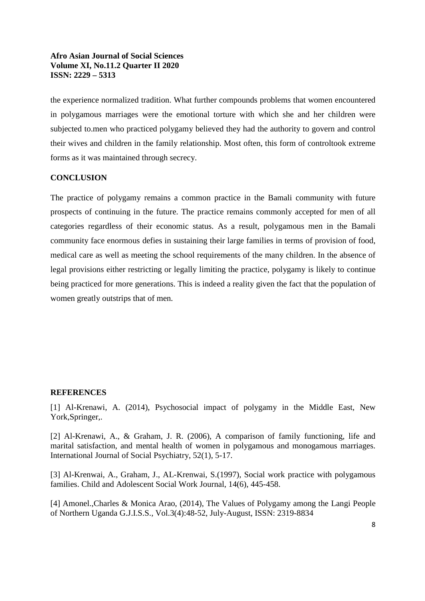the experience normalized tradition. What further compounds problems that women encountered in polygamous marriages were the emotional torture with which she and her children were subjected to.men who practiced polygamy believed they had the authority to govern and control their wives and children in the family relationship. Most often, this form of controltook extreme forms as it was maintained through secrecy.

# **CONCLUSION**

The practice of polygamy remains a common practice in the Bamali community with future prospects of continuing in the future. The practice remains commonly accepted for men of all categories regardless of their economic status. As a result, polygamous men in the Bamali community face enormous defies in sustaining their large families in terms of provision of food, medical care as well as meeting the school requirements of the many children. In the absence of legal provisions either restricting or legally limiting the practice, polygamy is likely to continue being practiced for more generations. This is indeed a reality given the fact that the population of women greatly outstrips that of men.

# **REFERENCES**

[1] Al-Krenawi, A. (2014), Psychosocial impact of polygamy in the Middle East, New York,Springer,.

[2] Al-Krenawi, A., & Graham, J. R. (2006), A comparison of family functioning, life and marital satisfaction, and mental health of women in polygamous and monogamous marriages. International Journal of Social Psychiatry, 52(1), 5-17.

[3] Al-Krenwai, A., Graham, J., AL-Krenwai, S.(1997), Social work practice with polygamous families. Child and Adolescent Social Work Journal, 14(6), 445-458.

[4] Amonel.,Charles & Monica Arao, (2014), The Values of Polygamy among the Langi People of Northern Uganda G.J.I.S.S., Vol.3(4):48-52, July-August, ISSN: 2319-8834